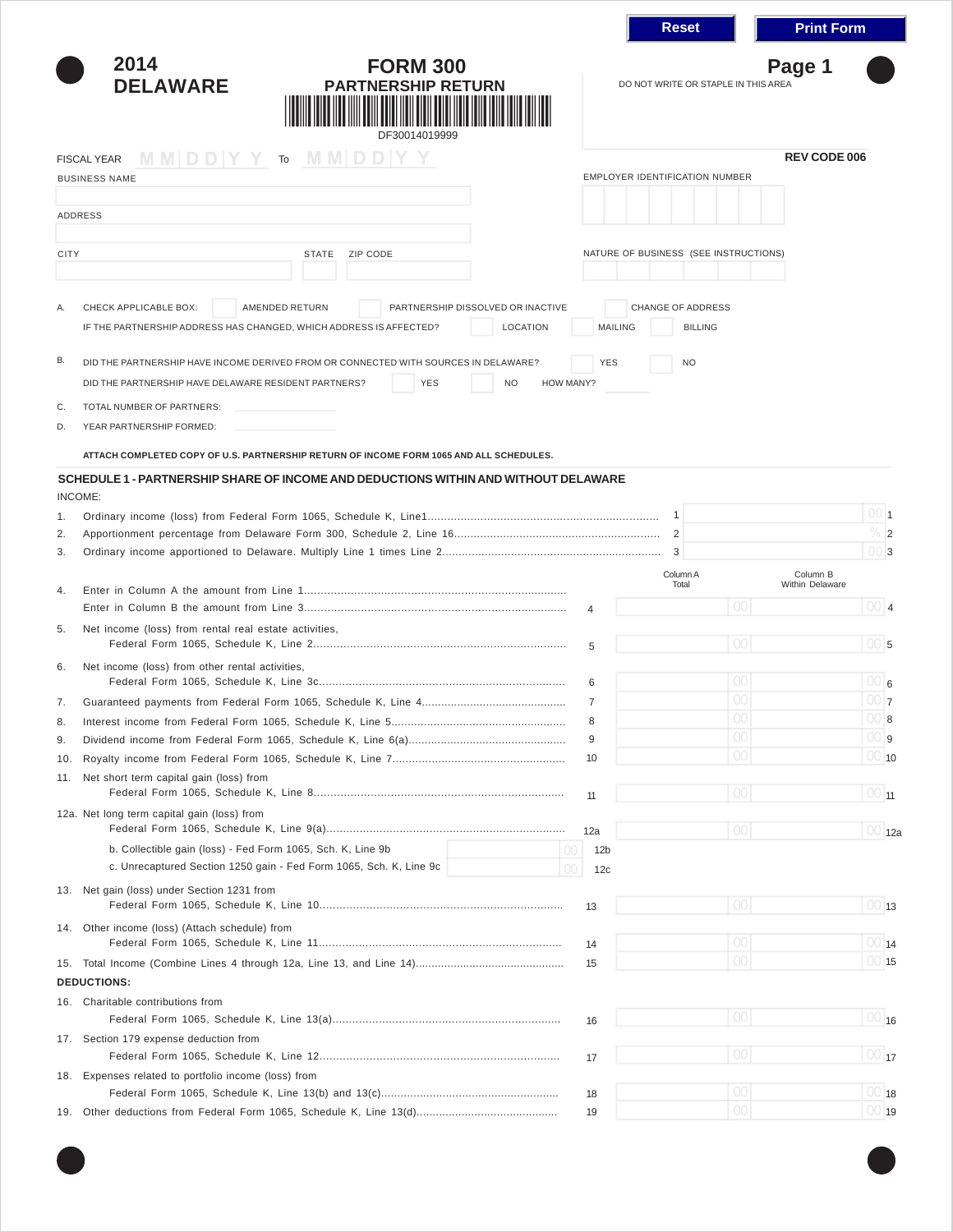|             |                                                                                                                                                                                     |                 | <b>Reset</b>                                  | <b>Print Form</b>           |                                |  |  |
|-------------|-------------------------------------------------------------------------------------------------------------------------------------------------------------------------------------|-----------------|-----------------------------------------------|-----------------------------|--------------------------------|--|--|
|             | 2014<br><b>FORM 300</b><br><b>DELAWARE</b><br><b>PARTNERSHIP RETURN</b><br>DF30014019999                                                                                            |                 | Page 1<br>DO NOT WRITE OR STAPLE IN THIS AREA |                             |                                |  |  |
|             | $MM DD Y Y$ To $MM DD Y Y$<br><b>FISCAL YEAR</b>                                                                                                                                    |                 |                                               | <b>REV CODE 006</b>         |                                |  |  |
|             | <b>BUSINESS NAME</b>                                                                                                                                                                |                 | <b>EMPLOYER IDENTIFICATION NUMBER</b>         |                             |                                |  |  |
|             | <b>ADDRESS</b>                                                                                                                                                                      |                 |                                               |                             |                                |  |  |
|             |                                                                                                                                                                                     |                 |                                               |                             |                                |  |  |
| <b>CITY</b> | <b>STATE</b><br>ZIP CODE                                                                                                                                                            |                 | NATURE OF BUSINESS (SEE INSTRUCTIONS)         |                             |                                |  |  |
|             |                                                                                                                                                                                     |                 |                                               |                             |                                |  |  |
|             | CHECK APPLICABLE BOX:<br><b>AMENDED RETURN</b><br>PARTNERSHIP DISSOLVED OR INACTIVE<br>IF THE PARTNERSHIP ADDRESS HAS CHANGED, WHICH ADDRESS IS AFFECTED?<br>LOCATION               | <b>MAILING</b>  | <b>CHANGE OF ADDRESS</b><br><b>BILLING</b>    |                             |                                |  |  |
| В.          | DID THE PARTNERSHIP HAVE INCOME DERIVED FROM OR CONNECTED WITH SOURCES IN DELAWARE?<br><b>YES</b><br><b>NO</b><br>HOW MANY?<br>DID THE PARTNERSHIP HAVE DELAWARE RESIDENT PARTNERS? | <b>YES</b>      | <b>NO</b>                                     |                             |                                |  |  |
| C.          | TOTAL NUMBER OF PARTNERS:                                                                                                                                                           |                 |                                               |                             |                                |  |  |
| D.          | YEAR PARTNERSHIP FORMED:                                                                                                                                                            |                 |                                               |                             |                                |  |  |
|             | ATTACH COMPLETED COPY OF U.S. PARTNERSHIP RETURN OF INCOME FORM 1065 AND ALL SCHEDULES.                                                                                             |                 |                                               |                             |                                |  |  |
|             | SCHEDULE 1 - PARTNERSHIP SHARE OF INCOME AND DEDUCTIONS WITHIN AND WITHOUT DELAWARE                                                                                                 |                 |                                               |                             |                                |  |  |
| 1.          | INCOME:                                                                                                                                                                             |                 |                                               |                             | 001                            |  |  |
| 2.          |                                                                                                                                                                                     |                 |                                               |                             | $\%$ 2                         |  |  |
| 3.          |                                                                                                                                                                                     |                 |                                               |                             | 0013                           |  |  |
|             |                                                                                                                                                                                     |                 | Column A<br>Total                             | Column B<br>Within Delaware |                                |  |  |
| 4.          |                                                                                                                                                                                     |                 | 00                                            |                             | 0014                           |  |  |
|             |                                                                                                                                                                                     | 4               |                                               |                             |                                |  |  |
| 5.          | Net income (loss) from rental real estate activities,                                                                                                                               | 5               | 00                                            |                             | $100$ <sub>5</sub>             |  |  |
| 6.          | Net income (loss) from other rental activities,                                                                                                                                     |                 |                                               |                             |                                |  |  |
|             |                                                                                                                                                                                     | 6               | $00\,$                                        |                             | 6                              |  |  |
| 7.          |                                                                                                                                                                                     | $\overline{7}$  | 00                                            |                             | 00 7                           |  |  |
| 8.          |                                                                                                                                                                                     | 8               | UU                                            |                             | $\cup$ 8                       |  |  |
| 9.          |                                                                                                                                                                                     | 9               | ${\rm O}0$                                    |                             | 00 9                           |  |  |
| 10.         |                                                                                                                                                                                     | 10              | $00 \,$                                       |                             | $ 00 $ 10                      |  |  |
| 11.         | Net short term capital gain (loss) from                                                                                                                                             |                 |                                               |                             |                                |  |  |
|             |                                                                                                                                                                                     | 11              | 00                                            |                             | $\overline{100}$ <sub>11</sub> |  |  |
|             | 12a. Net long term capital gain (loss) from                                                                                                                                         | 12a             | 00                                            |                             | 00 12a                         |  |  |
|             | b. Collectible gain (loss) - Fed Form 1065, Sch. K, Line 9b<br>$O$ C                                                                                                                | 12 <sub>b</sub> |                                               |                             |                                |  |  |
|             | c. Unrecaptured Section 1250 gain - Fed Form 1065, Sch. K, Line 9c<br>OC                                                                                                            | 12 <sub>c</sub> |                                               |                             |                                |  |  |
|             | 13. Net gain (loss) under Section 1231 from                                                                                                                                         | 13              | 00                                            |                             | 0013                           |  |  |
|             | 14. Other income (loss) (Attach schedule) from                                                                                                                                      |                 |                                               |                             |                                |  |  |
|             |                                                                                                                                                                                     | 14              | 00 <sup>1</sup>                               |                             | $00 _{14}$                     |  |  |
| 15.         | <b>DEDUCTIONS:</b>                                                                                                                                                                  | 15              | 00 <sup>1</sup>                               |                             | 0015                           |  |  |
|             | 16. Charitable contributions from                                                                                                                                                   |                 |                                               |                             |                                |  |  |
|             |                                                                                                                                                                                     | 16              | 00                                            |                             | $\overline{100}$ 16            |  |  |
|             | 17. Section 179 expense deduction from                                                                                                                                              |                 | 00                                            |                             | $\overline{100}$ <sub>17</sub> |  |  |
|             | 18. Expenses related to portfolio income (loss) from                                                                                                                                | 17              |                                               |                             |                                |  |  |
|             |                                                                                                                                                                                     | 18              | $00\,$                                        |                             | $00 $ 18                       |  |  |
| 19.         |                                                                                                                                                                                     | 19              | 00 <sup>1</sup>                               |                             | 0019                           |  |  |
|             |                                                                                                                                                                                     |                 |                                               |                             |                                |  |  |